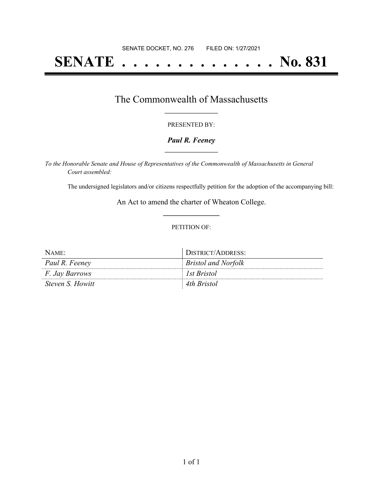# **SENATE . . . . . . . . . . . . . . No. 831**

### The Commonwealth of Massachusetts **\_\_\_\_\_\_\_\_\_\_\_\_\_\_\_\_\_**

#### PRESENTED BY:

#### *Paul R. Feeney* **\_\_\_\_\_\_\_\_\_\_\_\_\_\_\_\_\_**

*To the Honorable Senate and House of Representatives of the Commonwealth of Massachusetts in General Court assembled:*

The undersigned legislators and/or citizens respectfully petition for the adoption of the accompanying bill:

An Act to amend the charter of Wheaton College. **\_\_\_\_\_\_\_\_\_\_\_\_\_\_\_**

#### PETITION OF:

| NAME:                 | DISTRICT/ADDRESS:          |
|-----------------------|----------------------------|
| Paul R. Feeney        | <i>Bristol and Norfolk</i> |
| <i>F. Jay Barrows</i> | l <i>Ist Bristol</i>       |
| Steven S. Howitt      | 4th Bristol                |